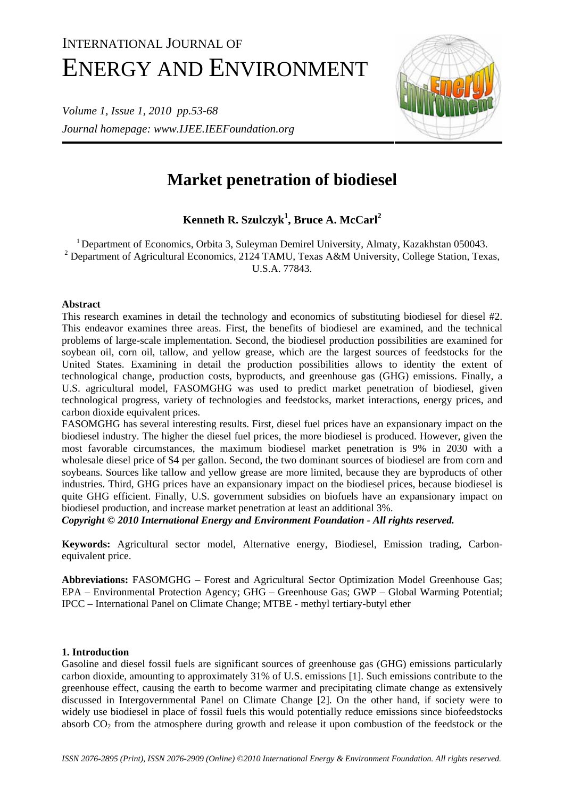# INTERNATIONAL JOURNAL OF ENERGY AND ENVIRONMENT

*Volume 1, Issue 1, 2010 pp.53-68 Journal homepage: www.IJEE.IEEFoundation.org* 



# **Market penetration of biodiesel**

**Kenneth R. Szulczyk<sup>1</sup> , Bruce A. McCarl2**

<sup>1</sup> Department of Economics, Orbita 3, Suleyman Demirel University, Almaty, Kazakhstan 050043. <sup>2</sup> Department of Agricultural Economics, 2124 TAMU, Texas A&M University, College Station, Texas, U.S.A. 77843.

# **Abstract**

This research examines in detail the technology and economics of substituting biodiesel for diesel #2. This endeavor examines three areas. First, the benefits of biodiesel are examined, and the technical problems of large-scale implementation. Second, the biodiesel production possibilities are examined for soybean oil, corn oil, tallow, and yellow grease, which are the largest sources of feedstocks for the United States. Examining in detail the production possibilities allows to identity the extent of technological change, production costs, byproducts, and greenhouse gas (GHG) emissions. Finally, a U.S. agricultural model, FASOMGHG was used to predict market penetration of biodiesel, given technological progress, variety of technologies and feedstocks, market interactions, energy prices, and carbon dioxide equivalent prices.

FASOMGHG has several interesting results. First, diesel fuel prices have an expansionary impact on the biodiesel industry. The higher the diesel fuel prices, the more biodiesel is produced. However, given the most favorable circumstances, the maximum biodiesel market penetration is 9% in 2030 with a wholesale diesel price of \$4 per gallon. Second, the two dominant sources of biodiesel are from corn and soybeans. Sources like tallow and yellow grease are more limited, because they are byproducts of other industries. Third, GHG prices have an expansionary impact on the biodiesel prices, because biodiesel is quite GHG efficient. Finally, U.S. government subsidies on biofuels have an expansionary impact on biodiesel production, and increase market penetration at least an additional 3%.

*Copyright © 2010 International Energy and Environment Foundation - All rights reserved.*

**Keywords:** Agricultural sector model, Alternative energy, Biodiesel, Emission trading, Carbonequivalent price.

**Abbreviations:** FASOMGHG – Forest and Agricultural Sector Optimization Model Greenhouse Gas; EPA – Environmental Protection Agency; GHG – Greenhouse Gas; GWP – Global Warming Potential; IPCC – International Panel on Climate Change; MTBE - methyl tertiary-butyl ether

# **1. Introduction**

Gasoline and diesel fossil fuels are significant sources of greenhouse gas (GHG) emissions particularly carbon dioxide, amounting to approximately 31% of U.S. emissions [1]. Such emissions contribute to the greenhouse effect, causing the earth to become warmer and precipitating climate change as extensively discussed in Intergovernmental Panel on Climate Change [2]. On the other hand, if society were to widely use biodiesel in place of fossil fuels this would potentially reduce emissions since biofeedstocks absorb  $CO<sub>2</sub>$  from the atmosphere during growth and release it upon combustion of the feedstock or the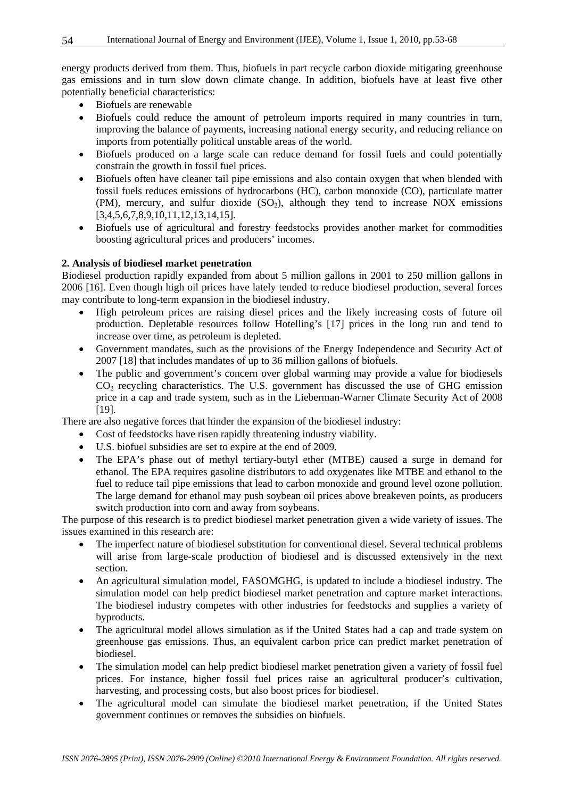energy products derived from them. Thus, biofuels in part recycle carbon dioxide mitigating greenhouse gas emissions and in turn slow down climate change. In addition, biofuels have at least five other potentially beneficial characteristics:

- Biofuels are renewable
- Biofuels could reduce the amount of petroleum imports required in many countries in turn, improving the balance of payments, increasing national energy security, and reducing reliance on imports from potentially political unstable areas of the world.
- Biofuels produced on a large scale can reduce demand for fossil fuels and could potentially constrain the growth in fossil fuel prices.
- Biofuels often have cleaner tail pipe emissions and also contain oxygen that when blended with fossil fuels reduces emissions of hydrocarbons (HC), carbon monoxide (CO), particulate matter (PM), mercury, and sulfur dioxide  $(SO<sub>2</sub>)$ , although they tend to increase NOX emissions [3,4,5,6,7,8,9,10,11,12,13,14,15].
- Biofuels use of agricultural and forestry feedstocks provides another market for commodities boosting agricultural prices and producers' incomes.

# **2. Analysis of biodiesel market penetration**

Biodiesel production rapidly expanded from about 5 million gallons in 2001 to 250 million gallons in 2006 [16]. Even though high oil prices have lately tended to reduce biodiesel production, several forces may contribute to long-term expansion in the biodiesel industry.

- High petroleum prices are raising diesel prices and the likely increasing costs of future oil production. Depletable resources follow Hotelling's [17] prices in the long run and tend to increase over time, as petroleum is depleted.
- Government mandates, such as the provisions of the Energy Independence and Security Act of 2007 [18] that includes mandates of up to 36 million gallons of biofuels.
- The public and government's concern over global warming may provide a value for biodiesels  $CO<sub>2</sub>$  recycling characteristics. The U.S. government has discussed the use of GHG emission price in a cap and trade system, such as in the Lieberman-Warner Climate Security Act of 2008 [19].

There are also negative forces that hinder the expansion of the biodiesel industry:

- Cost of feedstocks have risen rapidly threatening industry viability.
- U.S. biofuel subsidies are set to expire at the end of 2009.
- The EPA's phase out of methyl tertiary-butyl ether (MTBE) caused a surge in demand for ethanol. The EPA requires gasoline distributors to add oxygenates like MTBE and ethanol to the fuel to reduce tail pipe emissions that lead to carbon monoxide and ground level ozone pollution. The large demand for ethanol may push soybean oil prices above breakeven points, as producers switch production into corn and away from soybeans.

The purpose of this research is to predict biodiesel market penetration given a wide variety of issues. The issues examined in this research are:

- The imperfect nature of biodiesel substitution for conventional diesel. Several technical problems will arise from large-scale production of biodiesel and is discussed extensively in the next section.
- An agricultural simulation model, FASOMGHG, is updated to include a biodiesel industry. The simulation model can help predict biodiesel market penetration and capture market interactions. The biodiesel industry competes with other industries for feedstocks and supplies a variety of byproducts.
- The agricultural model allows simulation as if the United States had a cap and trade system on greenhouse gas emissions. Thus, an equivalent carbon price can predict market penetration of biodiesel.
- The simulation model can help predict biodiesel market penetration given a variety of fossil fuel prices. For instance, higher fossil fuel prices raise an agricultural producer's cultivation, harvesting, and processing costs, but also boost prices for biodiesel.
- The agricultural model can simulate the biodiesel market penetration, if the United States government continues or removes the subsidies on biofuels.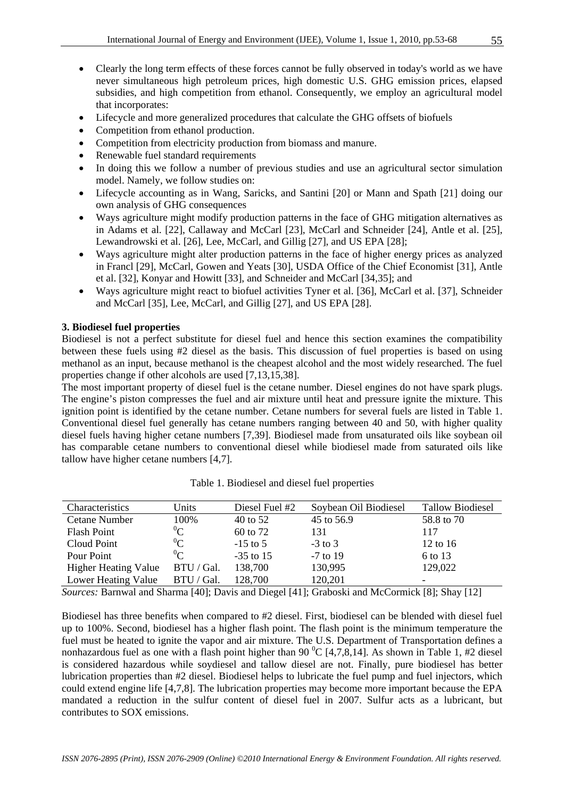- Clearly the long term effects of these forces cannot be fully observed in today's world as we have never simultaneous high petroleum prices, high domestic U.S. GHG emission prices, elapsed subsidies, and high competition from ethanol. Consequently, we employ an agricultural model that incorporates:
- Lifecycle and more generalized procedures that calculate the GHG offsets of biofuels
- Competition from ethanol production.
- Competition from electricity production from biomass and manure.
- Renewable fuel standard requirements
- In doing this we follow a number of previous studies and use an agricultural sector simulation model. Namely, we follow studies on:
- Lifecycle accounting as in Wang, Saricks, and Santini [20] or Mann and Spath [21] doing our own analysis of GHG consequences
- Ways agriculture might modify production patterns in the face of GHG mitigation alternatives as in Adams et al. [22], Callaway and McCarl [23], McCarl and Schneider [24], Antle et al. [25], Lewandrowski et al. [26], Lee, McCarl, and Gillig [27], and US EPA [28];
- Ways agriculture might alter production patterns in the face of higher energy prices as analyzed in Francl [29], McCarl, Gowen and Yeats [30], USDA Office of the Chief Economist [31], Antle et al. [32], Konyar and Howitt [33], and Schneider and McCarl [34,35]; and
- Ways agriculture might react to biofuel activities Tyner et al. [36], McCarl et al. [37], Schneider and McCarl [35], Lee, McCarl, and Gillig [27], and US EPA [28].

# **3. Biodiesel fuel properties**

Biodiesel is not a perfect substitute for diesel fuel and hence this section examines the compatibility between these fuels using #2 diesel as the basis. This discussion of fuel properties is based on using methanol as an input, because methanol is the cheapest alcohol and the most widely researched. The fuel properties change if other alcohols are used [7,13,15,38].

The most important property of diesel fuel is the cetane number. Diesel engines do not have spark plugs. The engine's piston compresses the fuel and air mixture until heat and pressure ignite the mixture. This ignition point is identified by the cetane number. Cetane numbers for several fuels are listed in Table 1. Conventional diesel fuel generally has cetane numbers ranging between 40 and 50, with higher quality diesel fuels having higher cetane numbers [7,39]. Biodiesel made from unsaturated oils like soybean oil has comparable cetane numbers to conventional diesel while biodiesel made from saturated oils like tallow have higher cetane numbers [4,7].

| Characteristics             | Units      | Diesel Fuel #2 | Soybean Oil Biodiesel | <b>Tallow Biodiesel</b> |
|-----------------------------|------------|----------------|-----------------------|-------------------------|
| Cetane Number               | 100\%      | 40 to 52       | 45 to 56.9            | 58.8 to 70              |
| Flash Point                 | $^{0}$ C   | 60 to 72       | 131                   | 117                     |
| Cloud Point                 | ${}^{0}C$  | $-15$ to 5     | $-3$ to 3             | $12$ to $16$            |
| Pour Point                  | $^{0}$ C   | $-35$ to 15    | $-7$ to 19            | 6 to 13                 |
| <b>Higher Heating Value</b> | BTU / Gal. | 138,700        | 130,995               | 129,022                 |
| Lower Heating Value         | BTU / Gal. | 128,700        | 120,201               |                         |

Table 1. Biodiesel and diesel fuel properties

*Sources:* Barnwal and Sharma [40]; Davis and Diegel [41]; Graboski and McCormick [8]; Shay [12]

Biodiesel has three benefits when compared to #2 diesel. First, biodiesel can be blended with diesel fuel up to 100%. Second, biodiesel has a higher flash point. The flash point is the minimum temperature the fuel must be heated to ignite the vapor and air mixture. The U.S. Department of Transportation defines a nonhazardous fuel as one with a flash point higher than 90  $^{\circ}$ C [4,7,8,14]. As shown in Table 1, #2 diesel is considered hazardous while soydiesel and tallow diesel are not. Finally, pure biodiesel has better lubrication properties than #2 diesel. Biodiesel helps to lubricate the fuel pump and fuel injectors, which could extend engine life [4,7,8]. The lubrication properties may become more important because the EPA mandated a reduction in the sulfur content of diesel fuel in 2007. Sulfur acts as a lubricant, but contributes to SOX emissions.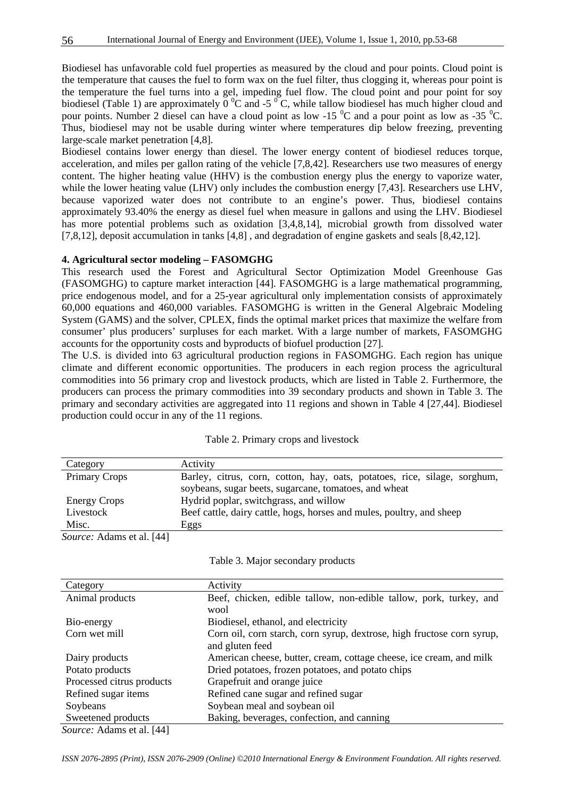Biodiesel has unfavorable cold fuel properties as measured by the cloud and pour points. Cloud point is the temperature that causes the fuel to form wax on the fuel filter, thus clogging it, whereas pour point is the temperature the fuel turns into a gel, impeding fuel flow. The cloud point and pour point for soy biodiesel (Table 1) are approximately  $0^{\circ}$ C and -5  $^{\circ}$ C, while tallow biodiesel has much higher cloud and pour points. Number 2 diesel can have a cloud point as low -15  $\rm{^0C}$  and a pour point as low as -35  $\rm{^0C}$ . Thus, biodiesel may not be usable during winter where temperatures dip below freezing, preventing large-scale market penetration [4,8].

Biodiesel contains lower energy than diesel. The lower energy content of biodiesel reduces torque, acceleration, and miles per gallon rating of the vehicle [7,8,42]. Researchers use two measures of energy content. The higher heating value (HHV) is the combustion energy plus the energy to vaporize water, while the lower heating value (LHV) only includes the combustion energy [7,43]. Researchers use LHV, because vaporized water does not contribute to an engine's power. Thus, biodiesel contains approximately 93.40% the energy as diesel fuel when measure in gallons and using the LHV. Biodiesel has more potential problems such as oxidation [3,4,8,14], microbial growth from dissolved water [7,8,12], deposit accumulation in tanks [4,8] , and degradation of engine gaskets and seals [8,42,12].

#### **4. Agricultural sector modeling – FASOMGHG**

This research used the Forest and Agricultural Sector Optimization Model Greenhouse Gas (FASOMGHG) to capture market interaction [44]. FASOMGHG is a large mathematical programming, price endogenous model, and for a 25-year agricultural only implementation consists of approximately 60,000 equations and 460,000 variables. FASOMGHG is written in the General Algebraic Modeling System (GAMS) and the solver, CPLEX, finds the optimal market prices that maximize the welfare from consumer' plus producers' surpluses for each market. With a large number of markets, FASOMGHG accounts for the opportunity costs and byproducts of biofuel production [27].

The U.S. is divided into 63 agricultural production regions in FASOMGHG. Each region has unique climate and different economic opportunities. The producers in each region process the agricultural commodities into 56 primary crop and livestock products, which are listed in Table 2. Furthermore, the producers can process the primary commodities into 39 secondary products and shown in Table 3. The primary and secondary activities are aggregated into 11 regions and shown in Table 4 [27,44]. Biodiesel production could occur in any of the 11 regions.

| Category                  | Activity                                                                  |
|---------------------------|---------------------------------------------------------------------------|
| <b>Primary Crops</b>      | Barley, citrus, corn, cotton, hay, oats, potatoes, rice, silage, sorghum, |
|                           | soybeans, sugar beets, sugarcane, tomatoes, and wheat                     |
| <b>Energy Crops</b>       | Hydrid poplar, switchgrass, and willow                                    |
| Livestock                 | Beef cattle, dairy cattle, hogs, horses and mules, poultry, and sheep     |
| Misc.                     | Eggs                                                                      |
| Source: Adams et al. [44] |                                                                           |

|  |  |  |  | Table 2. Primary crops and livestock |
|--|--|--|--|--------------------------------------|
|--|--|--|--|--------------------------------------|

| Table 3. Major secondary products |  |  |  |
|-----------------------------------|--|--|--|
|-----------------------------------|--|--|--|

| Category                       | Activity                                                               |
|--------------------------------|------------------------------------------------------------------------|
| Animal products                | Beef, chicken, edible tallow, non-edible tallow, pork, turkey, and     |
|                                | wool                                                                   |
| Bio-energy                     | Biodiesel, ethanol, and electricity                                    |
| Corn wet mill                  | Corn oil, corn starch, corn syrup, dextrose, high fructose corn syrup, |
|                                | and gluten feed                                                        |
| Dairy products                 | American cheese, butter, cream, cottage cheese, ice cream, and milk    |
| Potato products                | Dried potatoes, frozen potatoes, and potato chips                      |
| Processed citrus products      | Grapefruit and orange juice                                            |
| Refined sugar items            | Refined cane sugar and refined sugar                                   |
| Soybeans                       | Soybean meal and soybean oil                                           |
| Sweetened products             | Baking, beverages, confection, and canning                             |
| $Soumax$ , Adome of all $[AA]$ |                                                                        |

*Source:* Adams et al. [44]

*ISSN 2076-2895 (Print), ISSN 2076-2909 (Online) ©2010 International Energy & Environment Foundation. All rights reserved.*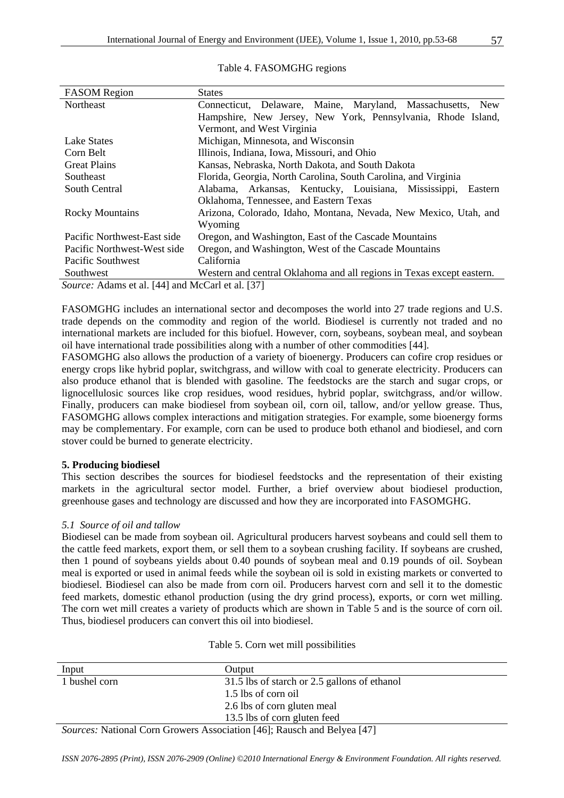| <b>FASOM</b> Region                                                               | <b>States</b>                                                         |  |  |  |  |
|-----------------------------------------------------------------------------------|-----------------------------------------------------------------------|--|--|--|--|
| Northeast                                                                         | Connecticut, Delaware, Maine, Maryland, Massachusetts, New            |  |  |  |  |
|                                                                                   | Hampshire, New Jersey, New York, Pennsylvania, Rhode Island,          |  |  |  |  |
|                                                                                   | Vermont, and West Virginia                                            |  |  |  |  |
| Lake States                                                                       | Michigan, Minnesota, and Wisconsin                                    |  |  |  |  |
| Corn Belt                                                                         | Illinois, Indiana, Iowa, Missouri, and Ohio                           |  |  |  |  |
| <b>Great Plains</b>                                                               | Kansas, Nebraska, North Dakota, and South Dakota                      |  |  |  |  |
| Southeast                                                                         | Florida, Georgia, North Carolina, South Carolina, and Virginia        |  |  |  |  |
| South Central                                                                     | Alabama, Arkansas, Kentucky, Louisiana, Mississippi,<br>Eastern       |  |  |  |  |
|                                                                                   | Oklahoma, Tennessee, and Eastern Texas                                |  |  |  |  |
| <b>Rocky Mountains</b>                                                            | Arizona, Colorado, Idaho, Montana, Nevada, New Mexico, Utah, and      |  |  |  |  |
|                                                                                   | Wyoming                                                               |  |  |  |  |
| Pacific Northwest-East side                                                       | Oregon, and Washington, East of the Cascade Mountains                 |  |  |  |  |
| Pacific Northwest-West side                                                       | Oregon, and Washington, West of the Cascade Mountains                 |  |  |  |  |
| Pacific Southwest                                                                 | California                                                            |  |  |  |  |
| Southwest                                                                         | Western and central Oklahoma and all regions in Texas except eastern. |  |  |  |  |
| $S_{\alpha\mu\nu\rho\alpha}$ , Adoms at al [44] and $M_2C_{\alpha\mu}$ at al [27] |                                                                       |  |  |  |  |

#### Table 4. FASOMGHG regions

*Source:* Adams et al. [44] and McCarl et al. [37]

FASOMGHG includes an international sector and decomposes the world into 27 trade regions and U.S. trade depends on the commodity and region of the world. Biodiesel is currently not traded and no international markets are included for this biofuel. However, corn, soybeans, soybean meal, and soybean oil have international trade possibilities along with a number of other commodities [44].

FASOMGHG also allows the production of a variety of bioenergy. Producers can cofire crop residues or energy crops like hybrid poplar, switchgrass, and willow with coal to generate electricity. Producers can also produce ethanol that is blended with gasoline. The feedstocks are the starch and sugar crops, or lignocellulosic sources like crop residues, wood residues, hybrid poplar, switchgrass, and/or willow. Finally, producers can make biodiesel from soybean oil, corn oil, tallow, and/or yellow grease. Thus, FASOMGHG allows complex interactions and mitigation strategies. For example, some bioenergy forms may be complementary. For example, corn can be used to produce both ethanol and biodiesel, and corn stover could be burned to generate electricity.

#### **5. Producing biodiesel**

This section describes the sources for biodiesel feedstocks and the representation of their existing markets in the agricultural sector model. Further, a brief overview about biodiesel production, greenhouse gases and technology are discussed and how they are incorporated into FASOMGHG.

#### *5.1 Source of oil and tallow*

Biodiesel can be made from soybean oil. Agricultural producers harvest soybeans and could sell them to the cattle feed markets, export them, or sell them to a soybean crushing facility. If soybeans are crushed, then 1 pound of soybeans yields about 0.40 pounds of soybean meal and 0.19 pounds of oil. Soybean meal is exported or used in animal feeds while the soybean oil is sold in existing markets or converted to biodiesel. Biodiesel can also be made from corn oil. Producers harvest corn and sell it to the domestic feed markets, domestic ethanol production (using the dry grind process), exports, or corn wet milling. The corn wet mill creates a variety of products which are shown in Table 5 and is the source of corn oil. Thus, biodiesel producers can convert this oil into biodiesel.

| Input                                         | Output                                                                                                                                                                                                                                                                                                                                            |  |
|-----------------------------------------------|---------------------------------------------------------------------------------------------------------------------------------------------------------------------------------------------------------------------------------------------------------------------------------------------------------------------------------------------------|--|
| 1 bushel corn                                 | 31.5 lbs of starch or 2.5 gallons of ethanol                                                                                                                                                                                                                                                                                                      |  |
|                                               | 1.5 lbs of corn oil                                                                                                                                                                                                                                                                                                                               |  |
|                                               | 2.6 lbs of corn gluten meal                                                                                                                                                                                                                                                                                                                       |  |
|                                               | 13.5 lbs of corn gluten feed                                                                                                                                                                                                                                                                                                                      |  |
| $\mathbf{M}$ $\mathbf{M}$<br>$\sim$<br>$\sim$ | $\mathbf{r}$ $\mathbf{r}$ $\mathbf{r}$ $\mathbf{r}$ $\mathbf{r}$ $\mathbf{r}$ $\mathbf{r}$ $\mathbf{r}$ $\mathbf{r}$ $\mathbf{r}$ $\mathbf{r}$ $\mathbf{r}$ $\mathbf{r}$ $\mathbf{r}$ $\mathbf{r}$ $\mathbf{r}$ $\mathbf{r}$ $\mathbf{r}$ $\mathbf{r}$ $\mathbf{r}$ $\mathbf{r}$ $\mathbf{r}$ $\mathbf{r}$ $\mathbf{r}$ $\mathbf{$<br><b>FAFT</b> |  |

# Table 5. Corn wet mill possibilities

*Sources:* National Corn Growers Association [46]; Rausch and Belyea [47]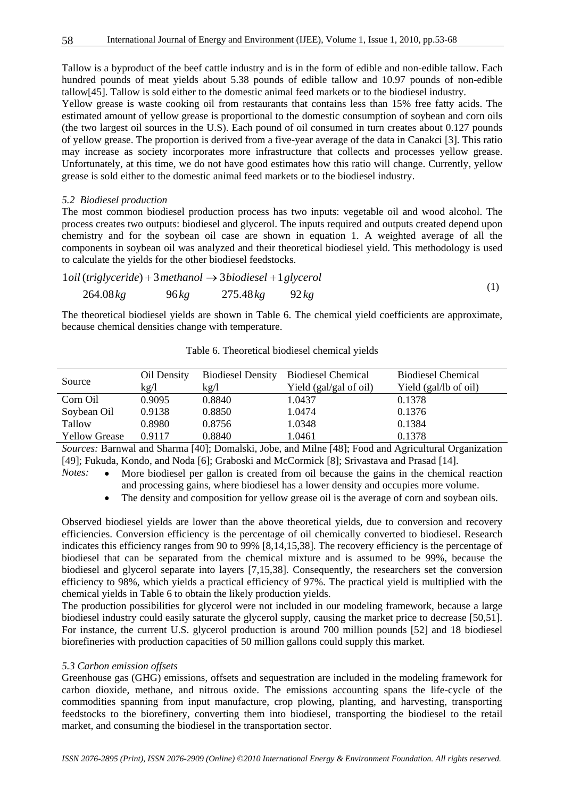Tallow is a byproduct of the beef cattle industry and is in the form of edible and non-edible tallow. Each hundred pounds of meat yields about 5.38 pounds of edible tallow and 10.97 pounds of non-edible tallow[45]. Tallow is sold either to the domestic animal feed markets or to the biodiesel industry.

Yellow grease is waste cooking oil from restaurants that contains less than 15% free fatty acids. The estimated amount of yellow grease is proportional to the domestic consumption of soybean and corn oils (the two largest oil sources in the U.S). Each pound of oil consumed in turn creates about 0.127 pounds of yellow grease. The proportion is derived from a five-year average of the data in Canakci [3]. This ratio may increase as society incorporates more infrastructure that collects and processes yellow grease. Unfortunately, at this time, we do not have good estimates how this ratio will change. Currently, yellow grease is sold either to the domestic animal feed markets or to the biodiesel industry.

#### *5.2 Biodiesel production*

The most common biodiesel production process has two inputs: vegetable oil and wood alcohol. The process creates two outputs: biodiesel and glycerol. The inputs required and outputs created depend upon chemistry and for the soybean oil case are shown in equation 1. A weighted average of all the components in soybean oil was analyzed and their theoretical biodiesel yield. This methodology is used to calculate the yields for the other biodiesel feedstocks.

$$
1 oil (triglyceride) + 3 methanol \rightarrow 3 biologicaliseel + 1 glycerol
$$
  
264.08 kg 96 kg 275.48 kg 92 kg (1)

The theoretical biodiesel yields are shown in Table 6. The chemical yield coefficients are approximate, because chemical densities change with temperature.

| Source               | Oil Density | <b>Biodiesel Density</b> | <b>Biodiesel Chemical</b> | <b>Biodiesel Chemical</b> |
|----------------------|-------------|--------------------------|---------------------------|---------------------------|
|                      | kg/l        | kg/l                     | Yield (gal/gal of oil)    | Yield (gal/lb of oil)     |
| Corn Oil             | 0.9095      | 0.8840                   | 1.0437                    | 0.1378                    |
| Soybean Oil          | 0.9138      | 0.8850                   | 1.0474                    | 0.1376                    |
| Tallow               | 0.8980      | 0.8756                   | 1.0348                    | 0.1384                    |
| <b>Yellow Grease</b> | 0.9117      | 0.8840                   | 1.0461                    | 0.1378                    |

Table 6. Theoretical biodiesel chemical yields

*Sources:* Barnwal and Sharma [40]; Domalski, Jobe, and Milne [48]; Food and Agricultural Organization [49]; Fukuda, Kondo, and Noda [6]; Graboski and McCormick [8]; Srivastava and Prasad [14].

*Notes:* • More biodiesel per gallon is created from oil because the gains in the chemical reaction and processing gains, where biodiesel has a lower density and occupies more volume.

The density and composition for yellow grease oil is the average of corn and soybean oils.

Observed biodiesel yields are lower than the above theoretical yields, due to conversion and recovery efficiencies. Conversion efficiency is the percentage of oil chemically converted to biodiesel. Research indicates this efficiency ranges from 90 to 99% [8,14,15,38]. The recovery efficiency is the percentage of biodiesel that can be separated from the chemical mixture and is assumed to be 99%, because the biodiesel and glycerol separate into layers [7,15,38]. Consequently, the researchers set the conversion efficiency to 98%, which yields a practical efficiency of 97%. The practical yield is multiplied with the chemical yields in Table 6 to obtain the likely production yields.

The production possibilities for glycerol were not included in our modeling framework, because a large biodiesel industry could easily saturate the glycerol supply, causing the market price to decrease [50,51]. For instance, the current U.S. glycerol production is around 700 million pounds [52] and 18 biodiesel biorefineries with production capacities of 50 million gallons could supply this market.

#### *5.3 Carbon emission offsets*

Greenhouse gas (GHG) emissions, offsets and sequestration are included in the modeling framework for carbon dioxide, methane, and nitrous oxide. The emissions accounting spans the life-cycle of the commodities spanning from input manufacture, crop plowing, planting, and harvesting, transporting feedstocks to the biorefinery, converting them into biodiesel, transporting the biodiesel to the retail market, and consuming the biodiesel in the transportation sector.

58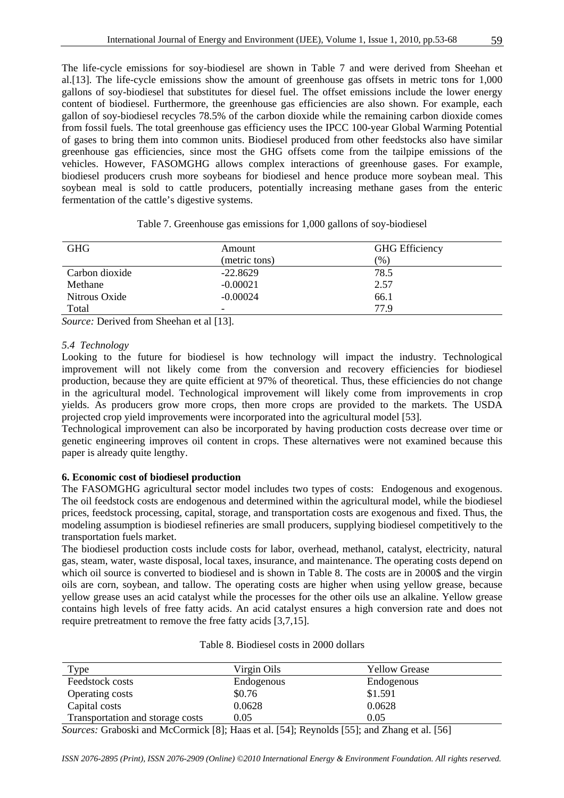The life-cycle emissions for soy-biodiesel are shown in Table 7 and were derived from Sheehan et al.[13]. The life-cycle emissions show the amount of greenhouse gas offsets in metric tons for 1,000 gallons of soy-biodiesel that substitutes for diesel fuel. The offset emissions include the lower energy content of biodiesel. Furthermore, the greenhouse gas efficiencies are also shown. For example, each gallon of soy-biodiesel recycles 78.5% of the carbon dioxide while the remaining carbon dioxide comes from fossil fuels. The total greenhouse gas efficiency uses the IPCC 100-year Global Warming Potential of gases to bring them into common units. Biodiesel produced from other feedstocks also have similar greenhouse gas efficiencies, since most the GHG offsets come from the tailpipe emissions of the vehicles. However, FASOMGHG allows complex interactions of greenhouse gases. For example, biodiesel producers crush more soybeans for biodiesel and hence produce more soybean meal. This soybean meal is sold to cattle producers, potentially increasing methane gases from the enteric fermentation of the cattle's digestive systems.

| <b>GHG</b>     | Amount        | <b>GHG</b> Efficiency |
|----------------|---------------|-----------------------|
|                | (metric tons) | $(\% )$               |
| Carbon dioxide | $-22.8629$    | 78.5                  |
| Methane        | $-0.00021$    | 2.57                  |
| Nitrous Oxide  | $-0.00024$    | 66.1                  |
| Total          | -             | 77.9                  |

Table 7. Greenhouse gas emissions for 1,000 gallons of soy-biodiesel

*Source:* Derived from Sheehan et al [13].

#### *5.4 Technology*

Looking to the future for biodiesel is how technology will impact the industry. Technological improvement will not likely come from the conversion and recovery efficiencies for biodiesel production, because they are quite efficient at 97% of theoretical. Thus, these efficiencies do not change in the agricultural model. Technological improvement will likely come from improvements in crop yields. As producers grow more crops, then more crops are provided to the markets. The USDA projected crop yield improvements were incorporated into the agricultural model [53].

Technological improvement can also be incorporated by having production costs decrease over time or genetic engineering improves oil content in crops. These alternatives were not examined because this paper is already quite lengthy.

# **6. Economic cost of biodiesel production**

The FASOMGHG agricultural sector model includes two types of costs: Endogenous and exogenous. The oil feedstock costs are endogenous and determined within the agricultural model, while the biodiesel prices, feedstock processing, capital, storage, and transportation costs are exogenous and fixed. Thus, the modeling assumption is biodiesel refineries are small producers, supplying biodiesel competitively to the transportation fuels market.

The biodiesel production costs include costs for labor, overhead, methanol, catalyst, electricity, natural gas, steam, water, waste disposal, local taxes, insurance, and maintenance. The operating costs depend on which oil source is converted to biodiesel and is shown in Table 8. The costs are in 2000\$ and the virgin oils are corn, soybean, and tallow. The operating costs are higher when using yellow grease, because yellow grease uses an acid catalyst while the processes for the other oils use an alkaline. Yellow grease contains high levels of free fatty acids. An acid catalyst ensures a high conversion rate and does not require pretreatment to remove the free fatty acids [3,7,15].

| Type                             | Virgin Oils | <b>Yellow Grease</b> |  |
|----------------------------------|-------------|----------------------|--|
| Feedstock costs                  | Endogenous  | Endogenous           |  |
| Operating costs                  | \$0.76      | \$1.591              |  |
| Capital costs                    | 0.0628      | 0.0628               |  |
| Transportation and storage costs | 0.05        | 0.05                 |  |

Table 8. Biodiesel costs in 2000 dollars

*Sources:* Graboski and McCormick [8]; Haas et al. [54]; Reynolds [55]; and Zhang et al. [56]

*ISSN 2076-2895 (Print), ISSN 2076-2909 (Online) ©2010 International Energy & Environment Foundation. All rights reserved.*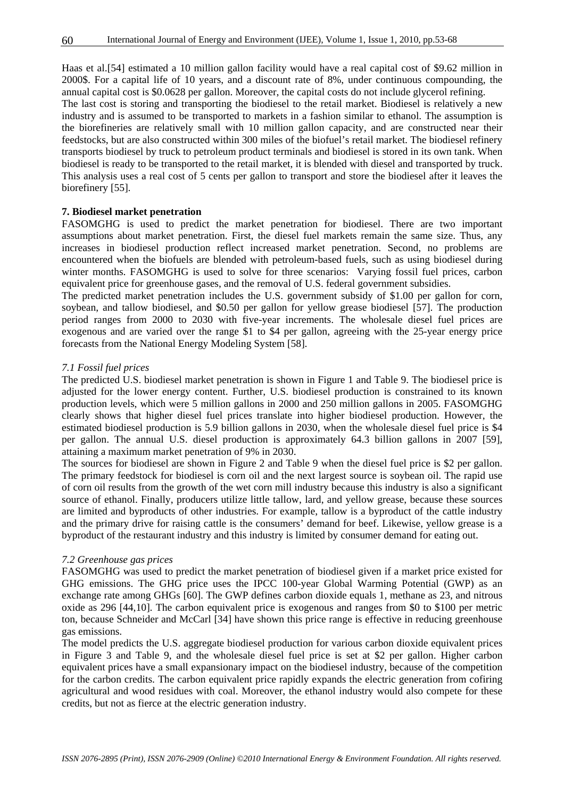Haas et al.[54] estimated a 10 million gallon facility would have a real capital cost of \$9.62 million in 2000\$. For a capital life of 10 years, and a discount rate of 8%, under continuous compounding, the annual capital cost is \$0.0628 per gallon. Moreover, the capital costs do not include glycerol refining.

The last cost is storing and transporting the biodiesel to the retail market. Biodiesel is relatively a new industry and is assumed to be transported to markets in a fashion similar to ethanol. The assumption is the biorefineries are relatively small with 10 million gallon capacity, and are constructed near their feedstocks, but are also constructed within 300 miles of the biofuel's retail market. The biodiesel refinery transports biodiesel by truck to petroleum product terminals and biodiesel is stored in its own tank. When biodiesel is ready to be transported to the retail market, it is blended with diesel and transported by truck. This analysis uses a real cost of 5 cents per gallon to transport and store the biodiesel after it leaves the biorefinery [55].

#### **7. Biodiesel market penetration**

FASOMGHG is used to predict the market penetration for biodiesel. There are two important assumptions about market penetration. First, the diesel fuel markets remain the same size. Thus, any increases in biodiesel production reflect increased market penetration. Second, no problems are encountered when the biofuels are blended with petroleum-based fuels, such as using biodiesel during winter months. FASOMGHG is used to solve for three scenarios: Varying fossil fuel prices, carbon equivalent price for greenhouse gases, and the removal of U.S. federal government subsidies.

The predicted market penetration includes the U.S. government subsidy of \$1.00 per gallon for corn, soybean, and tallow biodiesel, and \$0.50 per gallon for yellow grease biodiesel [57]. The production period ranges from 2000 to 2030 with five-year increments. The wholesale diesel fuel prices are exogenous and are varied over the range \$1 to \$4 per gallon, agreeing with the 25-year energy price forecasts from the National Energy Modeling System [58].

# *7.1 Fossil fuel prices*

The predicted U.S. biodiesel market penetration is shown in Figure 1 and Table 9. The biodiesel price is adjusted for the lower energy content. Further, U.S. biodiesel production is constrained to its known production levels, which were 5 million gallons in 2000 and 250 million gallons in 2005. FASOMGHG clearly shows that higher diesel fuel prices translate into higher biodiesel production. However, the estimated biodiesel production is 5.9 billion gallons in 2030, when the wholesale diesel fuel price is \$4 per gallon. The annual U.S. diesel production is approximately 64.3 billion gallons in 2007 [59], attaining a maximum market penetration of 9% in 2030.

The sources for biodiesel are shown in Figure 2 and Table 9 when the diesel fuel price is \$2 per gallon. The primary feedstock for biodiesel is corn oil and the next largest source is soybean oil. The rapid use of corn oil results from the growth of the wet corn mill industry because this industry is also a significant source of ethanol. Finally, producers utilize little tallow, lard, and yellow grease, because these sources are limited and byproducts of other industries. For example, tallow is a byproduct of the cattle industry and the primary drive for raising cattle is the consumers' demand for beef. Likewise, yellow grease is a byproduct of the restaurant industry and this industry is limited by consumer demand for eating out.

#### *7.2 Greenhouse gas prices*

FASOMGHG was used to predict the market penetration of biodiesel given if a market price existed for GHG emissions. The GHG price uses the IPCC 100-year Global Warming Potential (GWP) as an exchange rate among GHGs [60]. The GWP defines carbon dioxide equals 1, methane as 23, and nitrous oxide as 296 [44,10]. The carbon equivalent price is exogenous and ranges from \$0 to \$100 per metric ton, because Schneider and McCarl [34] have shown this price range is effective in reducing greenhouse gas emissions.

The model predicts the U.S. aggregate biodiesel production for various carbon dioxide equivalent prices in Figure 3 and Table 9, and the wholesale diesel fuel price is set at \$2 per gallon. Higher carbon equivalent prices have a small expansionary impact on the biodiesel industry, because of the competition for the carbon credits. The carbon equivalent price rapidly expands the electric generation from cofiring agricultural and wood residues with coal. Moreover, the ethanol industry would also compete for these credits, but not as fierce at the electric generation industry.

60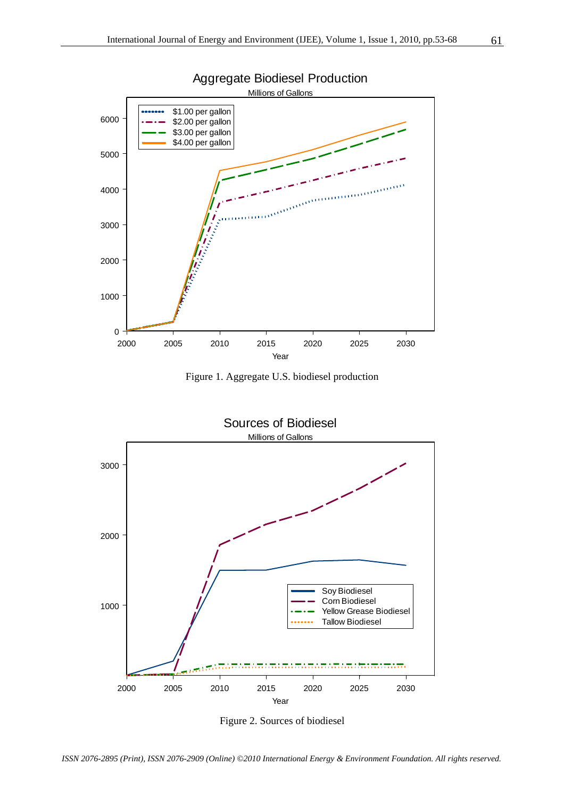

Figure 1. Aggregate U.S. biodiesel production



Figure 2. Sources of biodiesel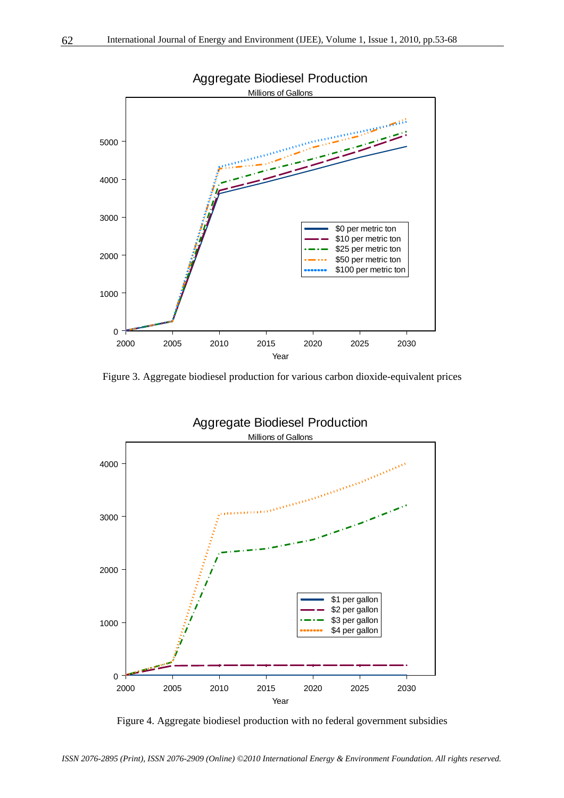

Figure 3. Aggregate biodiesel production for various carbon dioxide-equivalent prices



Figure 4. Aggregate biodiesel production with no federal government subsidies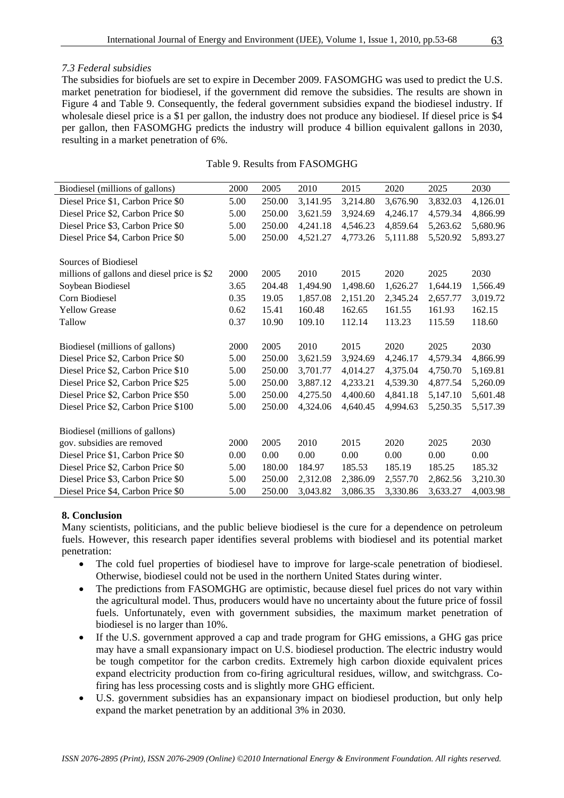## *7.3 Federal subsidies*

The subsidies for biofuels are set to expire in December 2009. FASOMGHG was used to predict the U.S. market penetration for biodiesel, if the government did remove the subsidies. The results are shown in Figure 4 and Table 9. Consequently, the federal government subsidies expand the biodiesel industry. If wholesale diesel price is a \$1 per gallon, the industry does not produce any biodiesel. If diesel price is \$4 per gallon, then FASOMGHG predicts the industry will produce 4 billion equivalent gallons in 2030, resulting in a market penetration of 6%.

#### Table 9. Results from FASOMGHG

| Biodiesel (millions of gallons)             | 2000 | 2005   | 2010     | 2015     | 2020     | 2025     | 2030     |
|---------------------------------------------|------|--------|----------|----------|----------|----------|----------|
| Diesel Price \$1, Carbon Price \$0          | 5.00 | 250.00 | 3,141.95 | 3,214.80 | 3,676.90 | 3,832.03 | 4,126.01 |
| Diesel Price \$2, Carbon Price \$0          | 5.00 | 250.00 | 3,621.59 | 3,924.69 | 4,246.17 | 4,579.34 | 4,866.99 |
| Diesel Price \$3, Carbon Price \$0          | 5.00 | 250.00 | 4,241.18 | 4,546.23 | 4,859.64 | 5,263.62 | 5,680.96 |
| Diesel Price \$4, Carbon Price \$0          | 5.00 | 250.00 | 4,521.27 | 4,773.26 | 5,111.88 | 5,520.92 | 5,893.27 |
|                                             |      |        |          |          |          |          |          |
| Sources of Biodiesel                        |      |        |          |          |          |          |          |
| millions of gallons and diesel price is \$2 | 2000 | 2005   | 2010     | 2015     | 2020     | 2025     | 2030     |
| Soybean Biodiesel                           | 3.65 | 204.48 | 1,494.90 | 1,498.60 | 1,626.27 | 1,644.19 | 1,566.49 |
| Corn Biodiesel                              | 0.35 | 19.05  | 1,857.08 | 2,151.20 | 2,345.24 | 2,657.77 | 3,019.72 |
| <b>Yellow Grease</b>                        | 0.62 | 15.41  | 160.48   | 162.65   | 161.55   | 161.93   | 162.15   |
| Tallow                                      | 0.37 | 10.90  | 109.10   | 112.14   | 113.23   | 115.59   | 118.60   |
|                                             |      |        |          |          |          |          |          |
| Biodiesel (millions of gallons)             | 2000 | 2005   | 2010     | 2015     | 2020     | 2025     | 2030     |
| Diesel Price \$2, Carbon Price \$0          | 5.00 | 250.00 | 3,621.59 | 3,924.69 | 4,246.17 | 4,579.34 | 4,866.99 |
| Diesel Price \$2, Carbon Price \$10         | 5.00 | 250.00 | 3,701.77 | 4,014.27 | 4,375.04 | 4,750.70 | 5,169.81 |
| Diesel Price \$2, Carbon Price \$25         | 5.00 | 250.00 | 3,887.12 | 4,233.21 | 4,539.30 | 4,877.54 | 5,260.09 |
| Diesel Price \$2, Carbon Price \$50         | 5.00 | 250.00 | 4,275.50 | 4,400.60 | 4,841.18 | 5,147.10 | 5,601.48 |
| Diesel Price \$2, Carbon Price \$100        | 5.00 | 250.00 | 4,324.06 | 4,640.45 | 4,994.63 | 5,250.35 | 5,517.39 |
|                                             |      |        |          |          |          |          |          |
| Biodiesel (millions of gallons)             |      |        |          |          |          |          |          |
| gov. subsidies are removed                  | 2000 | 2005   | 2010     | 2015     | 2020     | 2025     | 2030     |
| Diesel Price \$1, Carbon Price \$0          | 0.00 | 0.00   | 0.00     | 0.00     | 0.00     | 0.00     | 0.00     |
| Diesel Price \$2, Carbon Price \$0          | 5.00 | 180.00 | 184.97   | 185.53   | 185.19   | 185.25   | 185.32   |
| Diesel Price \$3, Carbon Price \$0          | 5.00 | 250.00 | 2,312.08 | 2,386.09 | 2,557.70 | 2,862.56 | 3,210.30 |
| Diesel Price \$4, Carbon Price \$0          | 5.00 | 250.00 | 3,043.82 | 3,086.35 | 3,330.86 | 3,633.27 | 4,003.98 |

# **8. Conclusion**

Many scientists, politicians, and the public believe biodiesel is the cure for a dependence on petroleum fuels. However, this research paper identifies several problems with biodiesel and its potential market penetration:

- The cold fuel properties of biodiesel have to improve for large-scale penetration of biodiesel. Otherwise, biodiesel could not be used in the northern United States during winter.
- The predictions from FASOMGHG are optimistic, because diesel fuel prices do not vary within the agricultural model. Thus, producers would have no uncertainty about the future price of fossil fuels. Unfortunately, even with government subsidies, the maximum market penetration of biodiesel is no larger than 10%.
- If the U.S. government approved a cap and trade program for GHG emissions, a GHG gas price may have a small expansionary impact on U.S. biodiesel production. The electric industry would be tough competitor for the carbon credits. Extremely high carbon dioxide equivalent prices expand electricity production from co-firing agricultural residues, willow, and switchgrass. Cofiring has less processing costs and is slightly more GHG efficient.
- U.S. government subsidies has an expansionary impact on biodiesel production, but only help expand the market penetration by an additional 3% in 2030.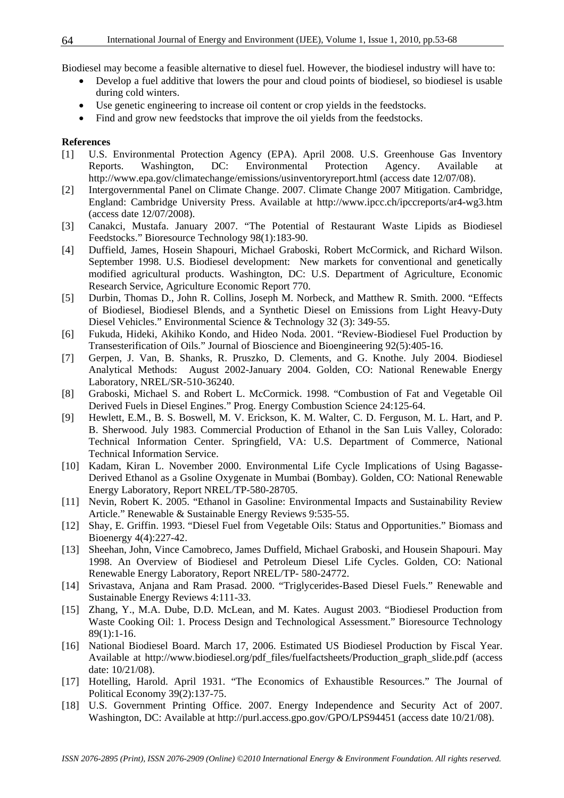Biodiesel may become a feasible alternative to diesel fuel. However, the biodiesel industry will have to:

- Develop a fuel additive that lowers the pour and cloud points of biodiesel, so biodiesel is usable during cold winters.
- Use genetic engineering to increase oil content or crop yields in the feedstocks.
- Find and grow new feedstocks that improve the oil yields from the feedstocks.

# **References**

- [1] U.S. Environmental Protection Agency (EPA). April 2008. U.S. Greenhouse Gas Inventory Reports. Washington, DC: Environmental Protection Agency. Available at http://www.epa.gov/climatechange/emissions/usinventoryreport.html (access date 12/07/08).
- [2] Intergovernmental Panel on Climate Change. 2007. Climate Change 2007 Mitigation. Cambridge, England: Cambridge University Press. Available at http://www.ipcc.ch/ipccreports/ar4-wg3.htm (access date 12/07/2008).
- [3] Canakci, Mustafa. January 2007. "The Potential of Restaurant Waste Lipids as Biodiesel Feedstocks." Bioresource Technology 98(1):183-90.
- [4] Duffield, James, Hosein Shapouri, Michael Graboski, Robert McCormick, and Richard Wilson. September 1998. U.S. Biodiesel development: New markets for conventional and genetically modified agricultural products. Washington, DC: U.S. Department of Agriculture, Economic Research Service, Agriculture Economic Report 770.
- [5] Durbin, Thomas D., John R. Collins, Joseph M. Norbeck, and Matthew R. Smith. 2000. "Effects of Biodiesel, Biodiesel Blends, and a Synthetic Diesel on Emissions from Light Heavy-Duty Diesel Vehicles." Environmental Science & Technology 32 (3): 349-55.
- [6] Fukuda, Hideki, Akihiko Kondo, and Hideo Noda. 2001. "Review-Biodiesel Fuel Production by Transesterification of Oils." Journal of Bioscience and Bioengineering 92(5):405-16.
- [7] Gerpen, J. Van, B. Shanks, R. Pruszko, D. Clements, and G. Knothe. July 2004. Biodiesel Analytical Methods: August 2002-January 2004. Golden, CO: National Renewable Energy Laboratory, NREL/SR-510-36240.
- [8] Graboski, Michael S. and Robert L. McCormick. 1998. "Combustion of Fat and Vegetable Oil Derived Fuels in Diesel Engines." Prog. Energy Combustion Science 24:125-64.
- [9] Hewlett, E.M., B. S. Boswell, M. V. Erickson, K. M. Walter, C. D. Ferguson, M. L. Hart, and P. B. Sherwood. July 1983. Commercial Production of Ethanol in the San Luis Valley, Colorado: Technical Information Center. Springfield, VA: U.S. Department of Commerce, National Technical Information Service.
- [10] Kadam, Kiran L. November 2000. Environmental Life Cycle Implications of Using Bagasse-Derived Ethanol as a Gsoline Oxygenate in Mumbai (Bombay). Golden, CO: National Renewable Energy Laboratory, Report NREL/TP-580-28705.
- [11] Nevin, Robert K. 2005. "Ethanol in Gasoline: Environmental Impacts and Sustainability Review Article." Renewable & Sustainable Energy Reviews 9:535-55.
- [12] Shay, E. Griffin. 1993. "Diesel Fuel from Vegetable Oils: Status and Opportunities." Biomass and Bioenergy 4(4):227-42.
- [13] Sheehan, John, Vince Camobreco, James Duffield, Michael Graboski, and Housein Shapouri. May 1998. An Overview of Biodiesel and Petroleum Diesel Life Cycles. Golden, CO: National Renewable Energy Laboratory, Report NREL/TP- 580-24772.
- [14] Srivastava, Anjana and Ram Prasad. 2000. "Triglycerides-Based Diesel Fuels." Renewable and Sustainable Energy Reviews 4:111-33.
- [15] Zhang, Y., M.A. Dube, D.D. McLean, and M. Kates. August 2003. "Biodiesel Production from Waste Cooking Oil: 1. Process Design and Technological Assessment." Bioresource Technology 89(1):1-16.
- [16] National Biodiesel Board. March 17, 2006. Estimated US Biodiesel Production by Fiscal Year. Available at http://www.biodiesel.org/pdf\_files/fuelfactsheets/Production\_graph\_slide.pdf (access date: 10/21/08).
- [17] Hotelling, Harold. April 1931. "The Economics of Exhaustible Resources." The Journal of Political Economy 39(2):137-75.
- [18] U.S. Government Printing Office. 2007. Energy Independence and Security Act of 2007. Washington, DC: Available at http://purl.access.gpo.gov/GPO/LPS94451 (access date 10/21/08).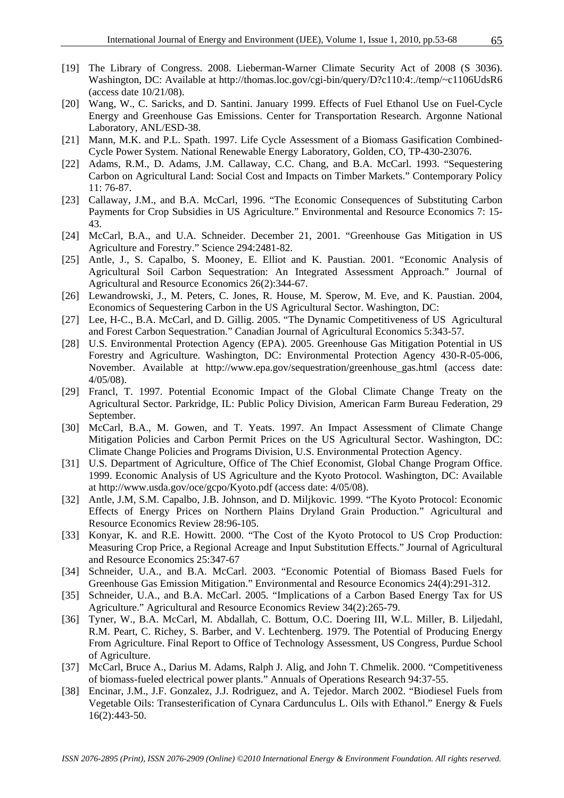- [19] The Library of Congress. 2008. Lieberman-Warner Climate Security Act of 2008 (S 3036). Washington, DC: Available at http://thomas.loc.gov/cgi-bin/query/D?c110:4:./temp/~c1106UdsR6 (access date 10/21/08).
- [20] Wang, W., C. Saricks, and D. Santini. January 1999. Effects of Fuel Ethanol Use on Fuel-Cycle Energy and Greenhouse Gas Emissions. Center for Transportation Research. Argonne National Laboratory, ANL/ESD-38.
- [21] Mann, M.K. and P.L. Spath. 1997. Life Cycle Assessment of a Biomass Gasification Combined-Cycle Power System. National Renewable Energy Laboratory, Golden, CO, TP-430-23076.
- [22] Adams, R.M., D. Adams, J.M. Callaway, C.C. Chang, and B.A. McCarl. 1993. "Sequestering Carbon on Agricultural Land: Social Cost and Impacts on Timber Markets." Contemporary Policy 11: 76-87.
- [23] Callaway, J.M., and B.A. McCarl, 1996. "The Economic Consequences of Substituting Carbon Payments for Crop Subsidies in US Agriculture." Environmental and Resource Economics 7: 15- 43.
- [24] McCarl, B.A., and U.A. Schneider. December 21, 2001. "Greenhouse Gas Mitigation in US Agriculture and Forestry." Science 294:2481-82.
- [25] Antle, J., S. Capalbo, S. Mooney, E. Elliot and K. Paustian. 2001. "Economic Analysis of Agricultural Soil Carbon Sequestration: An Integrated Assessment Approach." Journal of Agricultural and Resource Economics 26(2):344-67.
- [26] Lewandrowski, J., M. Peters, C. Jones, R. House, M. Sperow, M. Eve, and K. Paustian. 2004, Economics of Sequestering Carbon in the US Agricultural Sector. Washington, DC:
- [27] Lee, H-C., B.A. McCarl, and D. Gillig. 2005. "The Dynamic Competitiveness of US Agricultural and Forest Carbon Sequestration." Canadian Journal of Agricultural Economics 5:343-57.
- [28] U.S. Environmental Protection Agency (EPA). 2005. Greenhouse Gas Mitigation Potential in US Forestry and Agriculture. Washington, DC: Environmental Protection Agency 430-R-05-006, November. Available at http://www.epa.gov/sequestration/greenhouse\_gas.html (access date: 4/05/08).
- [29] Francl, T. 1997. Potential Economic Impact of the Global Climate Change Treaty on the Agricultural Sector. Parkridge, IL: Public Policy Division, American Farm Bureau Federation, 29 September.
- [30] McCarl, B.A., M. Gowen, and T. Yeats. 1997. An Impact Assessment of Climate Change Mitigation Policies and Carbon Permit Prices on the US Agricultural Sector. Washington, DC: Climate Change Policies and Programs Division, U.S. Environmental Protection Agency.
- [31] U.S. Department of Agriculture, Office of The Chief Economist, Global Change Program Office. 1999. Economic Analysis of US Agriculture and the Kyoto Protocol. Washington, DC: Available at http://www.usda.gov/oce/gcpo/Kyoto.pdf (access date: 4/05/08).
- [32] Antle, J.M, S.M. Capalbo, J.B. Johnson, and D. Miljkovic. 1999. "The Kyoto Protocol: Economic Effects of Energy Prices on Northern Plains Dryland Grain Production." Agricultural and Resource Economics Review 28:96-105.
- [33] Konyar, K. and R.E. Howitt. 2000. "The Cost of the Kyoto Protocol to US Crop Production: Measuring Crop Price, a Regional Acreage and Input Substitution Effects." Journal of Agricultural and Resource Economics 25:347-67
- [34] Schneider, U.A., and B.A. McCarl. 2003. "Economic Potential of Biomass Based Fuels for Greenhouse Gas Emission Mitigation." Environmental and Resource Economics 24(4):291-312.
- [35] Schneider, U.A., and B.A. McCarl. 2005. "Implications of a Carbon Based Energy Tax for US Agriculture." Agricultural and Resource Economics Review 34(2):265-79.
- [36] Tyner, W., B.A. McCarl, M. Abdallah, C. Bottum, O.C. Doering III, W.L. Miller, B. Liljedahl, R.M. Peart, C. Richey, S. Barber, and V. Lechtenberg. 1979. The Potential of Producing Energy From Agriculture. Final Report to Office of Technology Assessment, US Congress, Purdue School of Agriculture.
- [37] McCarl, Bruce A., Darius M. Adams, Ralph J. Alig, and John T. Chmelik. 2000. "Competitiveness of biomass-fueled electrical power plants." Annuals of Operations Research 94:37-55.
- [38] Encinar, J.M., J.F. Gonzalez, J.J. Rodriguez, and A. Tejedor. March 2002. "Biodiesel Fuels from Vegetable Oils: Transesterification of Cynara Cardunculus L. Oils with Ethanol." Energy & Fuels 16(2):443-50.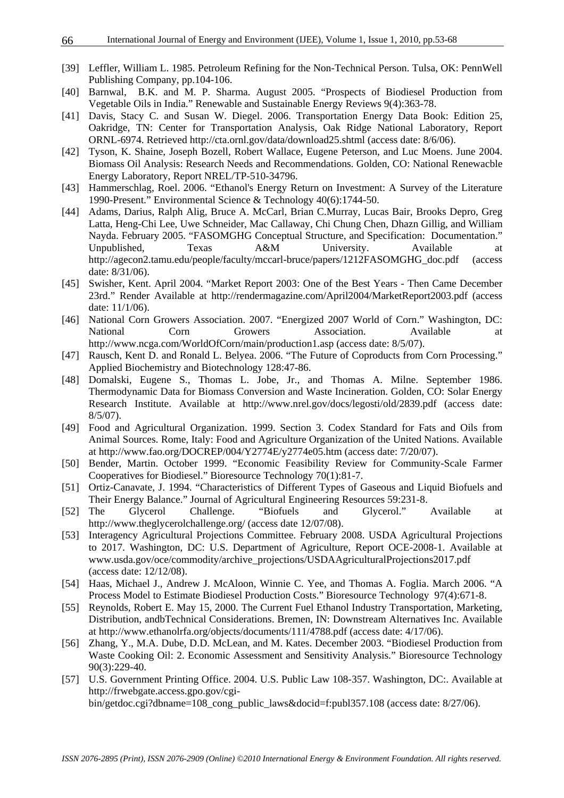- [39] Leffler, William L. 1985. Petroleum Refining for the Non-Technical Person. Tulsa, OK: PennWell Publishing Company, pp.104-106.
- [40] Barnwal, B.K. and M. P. Sharma. August 2005. "Prospects of Biodiesel Production from Vegetable Oils in India." Renewable and Sustainable Energy Reviews 9(4):363-78.
- [41] Davis, Stacy C. and Susan W. Diegel. 2006. Transportation Energy Data Book: Edition 25, Oakridge, TN: Center for Transportation Analysis, Oak Ridge National Laboratory, Report ORNL-6974. Retrieved http://cta.ornl.gov/data/download25.shtml (access date: 8/6/06).
- [42] Tyson, K. Shaine, Joseph Bozell, Robert Wallace, Eugene Peterson, and Luc Moens. June 2004. Biomass Oil Analysis: Research Needs and Recommendations. Golden, CO: National Renewacble Energy Laboratory, Report NREL/TP-510-34796.
- [43] Hammerschlag, Roel. 2006. "Ethanol's Energy Return on Investment: A Survey of the Literature 1990-Present." Environmental Science & Technology 40(6):1744-50.
- [44] Adams, Darius, Ralph Alig, Bruce A. McCarl, Brian C.Murray, Lucas Bair, Brooks Depro, Greg Latta, Heng-Chi Lee, Uwe Schneider, Mac Callaway, Chi Chung Chen, Dhazn Gillig, and William Nayda. February 2005. "FASOMGHG Conceptual Structure, and Specification: Documentation." Unpublished, Texas A&M University. Available at http://agecon2.tamu.edu/people/faculty/mccarl-bruce/papers/1212FASOMGHG\_doc.pdf (access date: 8/31/06).
- [45] Swisher, Kent. April 2004. "Market Report 2003: One of the Best Years Then Came December 23rd." Render Available at http://rendermagazine.com/April2004/MarketReport2003.pdf (access date: 11/1/06).
- [46] National Corn Growers Association. 2007. "Energized 2007 World of Corn." Washington, DC: National Corn Growers Association. Available at http://www.ncga.com/WorldOfCorn/main/production1.asp (access date: 8/5/07).
- [47] Rausch, Kent D. and Ronald L. Belyea. 2006. "The Future of Coproducts from Corn Processing." Applied Biochemistry and Biotechnology 128:47-86.
- [48] Domalski, Eugene S., Thomas L. Jobe, Jr., and Thomas A. Milne. September 1986. Thermodynamic Data for Biomass Conversion and Waste Incineration. Golden, CO: Solar Energy Research Institute. Available at http://www.nrel.gov/docs/legosti/old/2839.pdf (access date: 8/5/07).
- [49] Food and Agricultural Organization. 1999. Section 3. Codex Standard for Fats and Oils from Animal Sources. Rome, Italy: Food and Agriculture Organization of the United Nations. Available at http://www.fao.org/DOCREP/004/Y2774E/y2774e05.htm (access date: 7/20/07).
- [50] Bender, Martin. October 1999. "Economic Feasibility Review for Community-Scale Farmer Cooperatives for Biodiesel." Bioresource Technology 70(1):81-7.
- [51] Ortiz-Canavate, J. 1994. "Characteristics of Different Types of Gaseous and Liquid Biofuels and Their Energy Balance." Journal of Agricultural Engineering Resources 59:231-8.
- [52] The Glycerol Challenge. "Biofuels and Glycerol." Available at http://www.theglycerolchallenge.org/ (access date 12/07/08).
- [53] Interagency Agricultural Projections Committee. February 2008. USDA Agricultural Projections to 2017. Washington, DC: U.S. Department of Agriculture, Report OCE-2008-1. Available at www.usda.gov/oce/commodity/archive\_projections/USDAAgriculturalProjections2017.pdf (access date: 12/12/08).
- [54] Haas, Michael J., Andrew J. McAloon, Winnie C. Yee, and Thomas A. Foglia. March 2006. "A Process Model to Estimate Biodiesel Production Costs." Bioresource Technology 97(4):671-8.
- [55] Reynolds, Robert E. May 15, 2000. The Current Fuel Ethanol Industry Transportation, Marketing, Distribution, andbTechnical Considerations. Bremen, IN: Downstream Alternatives Inc. Available at http://www.ethanolrfa.org/objects/documents/111/4788.pdf (access date: 4/17/06).
- [56] Zhang, Y., M.A. Dube, D.D. McLean, and M. Kates. December 2003. "Biodiesel Production from Waste Cooking Oil: 2. Economic Assessment and Sensitivity Analysis." Bioresource Technology 90(3):229-40.
- [57] U.S. Government Printing Office. 2004. U.S. Public Law 108-357. Washington, DC:. Available at http://frwebgate.access.gpo.gov/cgibin/getdoc.cgi?dbname=108\_cong\_public\_laws&docid=f:publ357.108 (access date: 8/27/06).

66